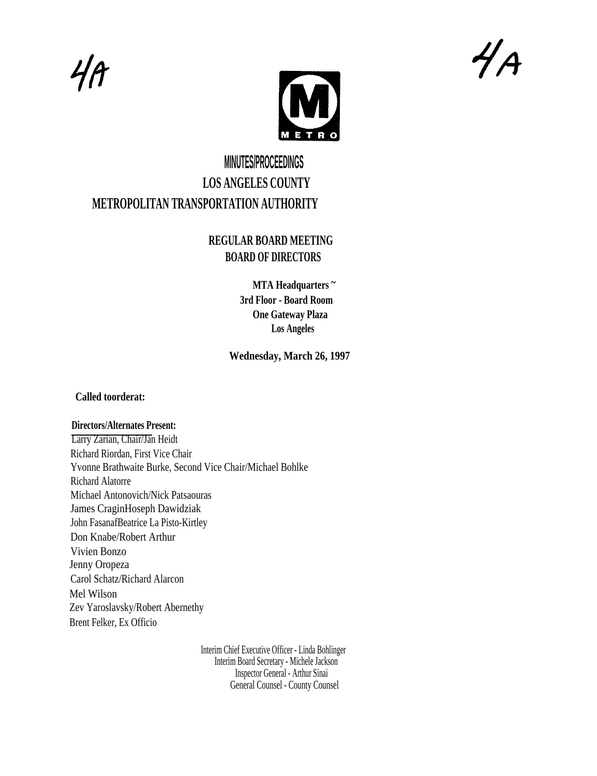$4A$ 



4A

# **MINUTES/PROCEEDINGS LOS ANGELES COUNTY METROPOLITAN TRANSPORTATION AUTHORITY**

## **REGULAR BOARD MEETING BOARD OF DIRECTORS**

**MTA Headquarters ~ 3rd Floor - Board Room One Gateway Plaza Los Angeles**

**Wednesday, March 26, 1997**

## **Called toorderat:**

## **Directors/Alternates Present:**

Larry Zarian, Chair/Jan Heidt Richard Riordan, First Vice Chair Yvonne Brathwaite Burke, Second Vice Chair/Michael Bohlke Richard Alatorre Michael Antonovich/Nick Patsaouras James CraginHoseph Dawidziak John FasanafBeatrice La Pisto-Kirtley Don Knabe/Robert Arthur Vivien Bonzo Jenny Oropeza Carol Schatz/Richard Alarcon Mel Wilson Zev Yaroslavsky/Robert Abernethy Brent Felker, Ex Officio

> Interim Chief Executive Officer - Linda Bohlinger Interim Board Secretary - Michele Jackson Inspector General - Arthur Sinai General Counsel - County Counsel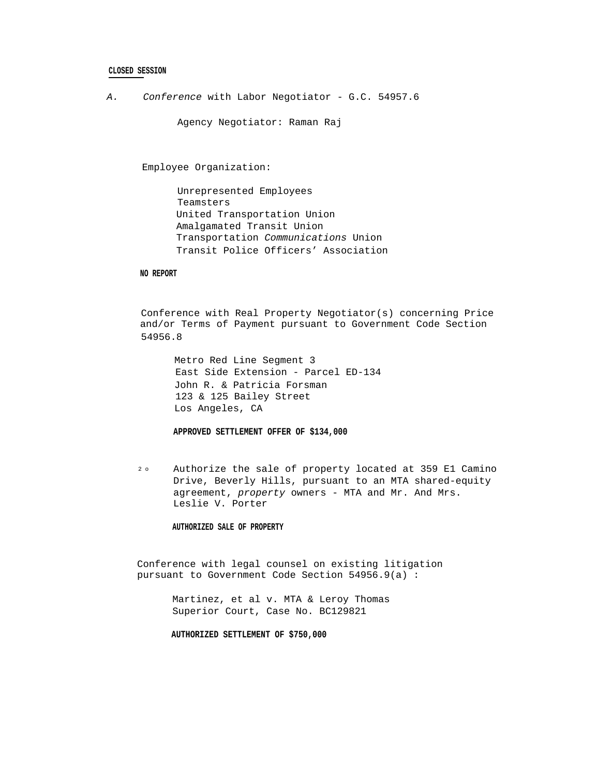### **CLOSED SESSION**

A. Conference with Labor Negotiator - G.C. 54957.6

Agency Negotiator: Raman Raj

Employee Organization:

Unrepresented Employees Teamsters United Transportation Union Amalgamated Transit Union Transportation Communications Union Transit Police Officers' Association

#### **NO REPORT**

Conference with Real Property Negotiator(s) concerning Price and/or Terms of Payment pursuant to Government Code Section 54956.8

Metro Red Line Segment 3 East Side Extension - Parcel ED-134 John R. & Patricia Forsman 123 & 125 Bailey Street Los Angeles, CA

**APPROVED SETTLEMENT OFFER OF \$134,000**

2 o Authorize the sale of property located at 359 E1 Camino Drive, Beverly Hills, pursuant to an MTA shared-equity agreement, property owners - MTA and Mr. And Mrs. Leslie V. Porter

#### **AUTHORIZED SALE OF PROPERTY**

Conference with legal counsel on existing litigation pursuant to Government Code Section 54956.9(a) :

> Martinez, et al v. MTA & Leroy Thomas Superior Court, Case No. BC129821

**AUTHORIZED SETTLEMENT OF \$750,000**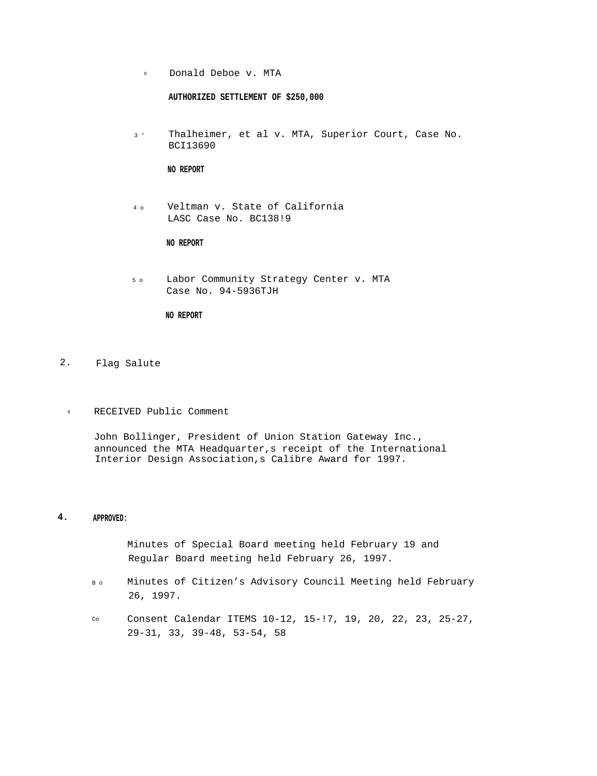<sup>o</sup> Donald Deboe v. MTA

**AUTHORIZED SETTLEMENT OF \$250,000**

3 ° Thalheimer, et al v. MTA, Superior Court, Case No. BCI13690

**NO REPORT**

4 o Veltman v. State of California LASC Case No. BC138!9

## **NO REPORT**

5 o Labor Community Strategy Center v. MTA Case No. 94-5936TJH

## **NO REPORT**

## 2. Flag Salute

<sup>o</sup> RECEIVED Public Comment

John Bollinger, President of Union Station Gateway Inc., announced the MTA Headquarter,s receipt of the International Interior Design Association,s Calibre Award for 1997.

## **4. APPROVED:**

Minutes of Special Board meeting held February 19 and Regular Board meeting held February 26, 1997.

- B o Minutes of Citizen's Advisory Council Meeting held February 26, 1997.
- Co Consent Calendar ITEMS 10-12, 15-!7, 19, 20, 22, 23, 25-27, 29-31, 33, 39-48, 53-54, 58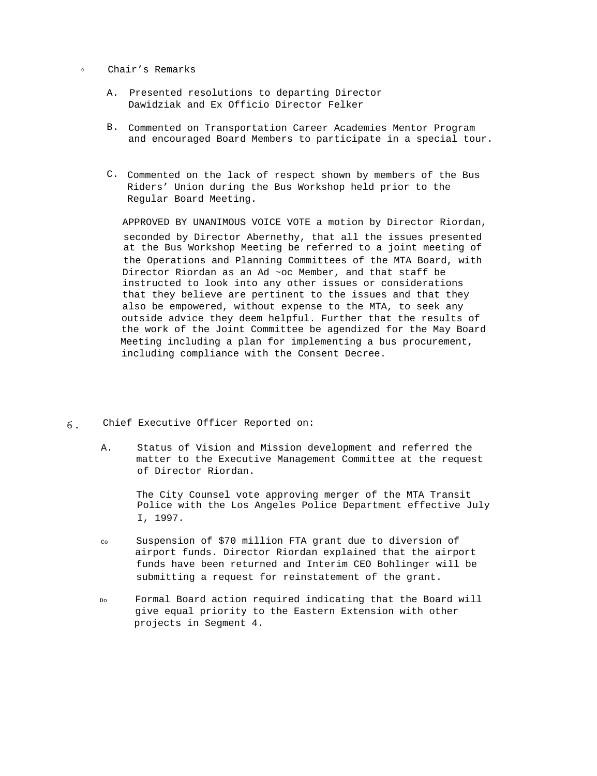<sup>o</sup> Chair's Remarks

- A. Presented resolutions to departing Director Dawidziak and Ex Officio Director Felker
- B. Commented on Transportation Career Academies Mentor Program and encouraged Board Members to participate in a special tour.
- C. Commented on the lack of respect shown by members of the Bus Riders' Union during the Bus Workshop held prior to the Regular Board Meeting.

APPROVED BY UNANIMOUS VOICE VOTE a motion by Director Riordan, seconded by Director Abernethy, that all the issues presented at the Bus Workshop Meeting be referred to a joint meeting of the Operations and Planning Committees of the MTA Board, with Director Riordan as an Ad ~oc Member, and that staff be instructed to look into any other issues or considerations that they believe are pertinent to the issues and that they also be empowered, without expense to the MTA, to seek any outside advice they deem helpful. Further that the results of the work of the Joint Committee be agendized for the May Board Meeting including a plan for implementing a bus procurement, including compliance with the Consent Decree.

- Chief Executive Officer Reported on: 6.
	- A. Status of Vision and Mission development and referred the matter to the Executive Management Committee at the request of Director Riordan.

The City Counsel vote approving merger of the MTA Transit Police with the Los Angeles Police Department effective July I, 1997.

- Co Suspension of \$70 million FTA grant due to diversion of airport funds. Director Riordan explained that the airport funds have been returned and Interim CEO Bohlinger will be submitting a request for reinstatement of the grant.
- Do Formal Board action required indicating that the Board will give equal priority to the Eastern Extension with other projects in Segment 4.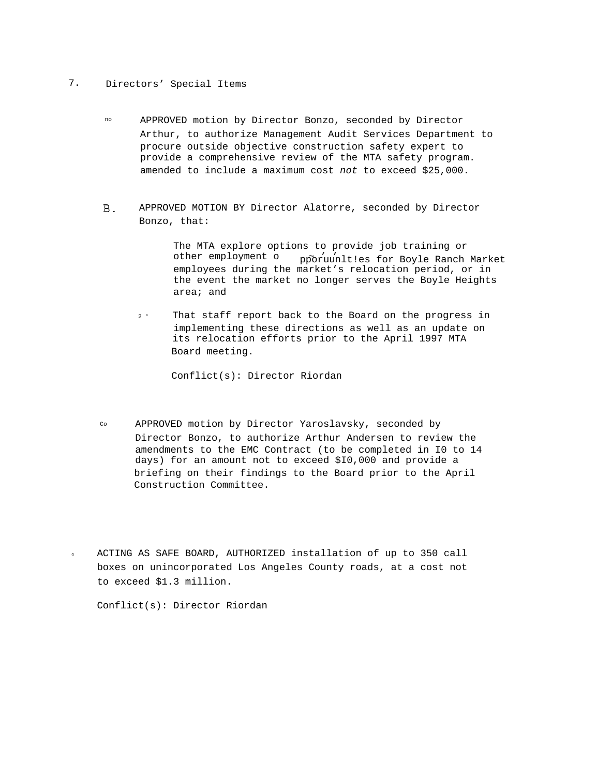## 7. Directors' Special Items

- no APPROVED motion by Director Bonzo, seconded by Director Arthur, to authorize Management Audit Services Department to procure outside objective construction safety expert to provide a comprehensive review of the MTA safety program. amended to include a maximum cost not to exceed \$25,000.
- APPROVED MOTION BY Director Alatorre, seconded by Director  $B<sub>1</sub>$ Bonzo, that:

The MTA explore options to provide job training or other employment o ~ ' ' pporuunlt!es for Boyle Ranch Market employees during the market's relocation period, or in the event the market no longer serves the Boyle Heights area; and

2 ° That staff report back to the Board on the progress in implementing these directions as well as an update on its relocation efforts prior to the April 1997 MTA Board meeting.

Conflict(s): Director Riordan

- Co APPROVED motion by Director Yaroslavsky, seconded by Director Bonzo, to authorize Arthur Andersen to review the amendments to the EMC Contract (to be completed in I0 to 14 days) for an amount not to exceed \$I0,000 and provide a briefing on their findings to the Board prior to the April Construction Committee.
- <sup>o</sup> ACTING AS SAFE BOARD, AUTHORIZED installation of up to 350 call boxes on unincorporated Los Angeles County roads, at a cost not to exceed \$1.3 million.

Conflict(s): Director Riordan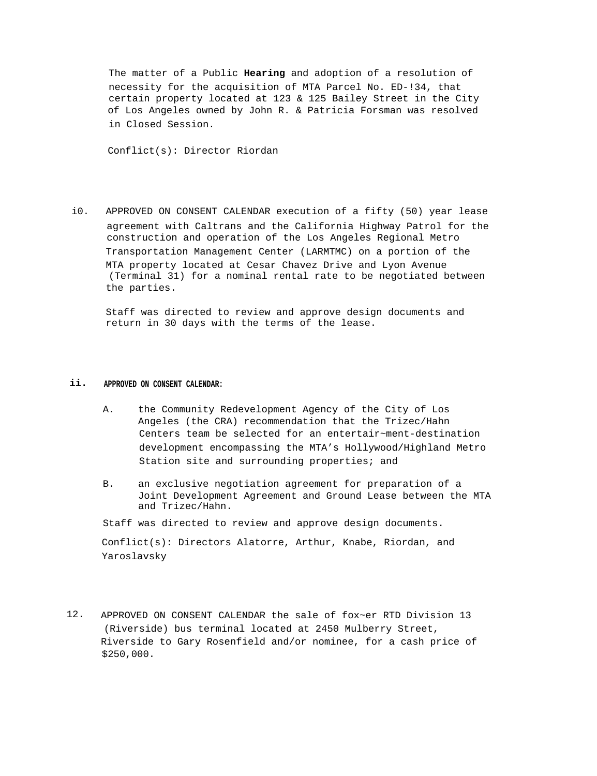The matter of a Public **Hearing** and adoption of a resolution of necessity for the acquisition of MTA Parcel No. ED-!34, that certain property located at 123 & 125 Bailey Street in the City of Los Angeles owned by John R. & Patricia Forsman was resolved in Closed Session.

Conflict(s): Director Riordan

i0. APPROVED ON CONSENT CALENDAR execution of a fifty (50) year lease agreement with Caltrans and the California Highway Patrol for the construction and operation of the Los Angeles Regional Metro Transportation Management Center (LARMTMC) on a portion of the MTA property located at Cesar Chavez Drive and Lyon Avenue (Terminal 31) for a nominal rental rate to be negotiated between the parties.

Staff was directed to review and approve design documents and return in 30 days with the terms of the lease.

## **ii. APPROVED ON CONSENT CALENDAR:**

- A. the Community Redevelopment Agency of the City of Los Angeles (the CRA) recommendation that the Trizec/Hahn Centers team be selected for an entertair~ment-destination development encompassing the MTA's Hollywood/Highland Metro Station site and surrounding properties; and
- B. an exclusive negotiation agreement for preparation of a Joint Development Agreement and Ground Lease between the MTA and Trizec/Hahn.

Staff was directed to review and approve design documents.

Conflict(s): Directors Alatorre, Arthur, Knabe, Riordan, and Yaroslavsky

12. APPROVED ON CONSENT CALENDAR the sale of fox~er RTD Division 13 (Riverside) bus terminal located at 2450 Mulberry Street, Riverside to Gary Rosenfield and/or nominee, for a cash price of \$250,000.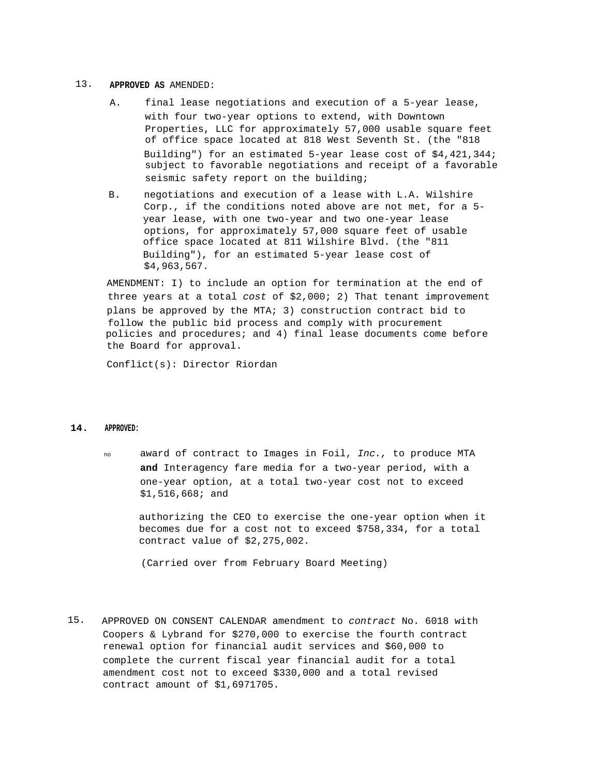#### 13. **APPROVED AS** AMENDED:

- A. final lease negotiations and execution of a 5-year lease, with four two-year options to extend, with Downtown Properties, LLC for approximately 57,000 usable square feet of office space located at 818 West Seventh St. (the "818 Building") for an estimated 5-year lease cost of \$4,421,344; subject to favorable negotiations and receipt of a favorable seismic safety report on the building;
- B. negotiations and execution of a lease with L.A. Wilshire Corp., if the conditions noted above are not met, for a 5 year lease, with one two-year and two one-year lease options, for approximately 57,000 square feet of usable office space located at 811 Wilshire Blvd. (the "811 Building"), for an estimated 5-year lease cost of \$4,963,567.

AMENDMENT: I) to include an option for termination at the end of three years at a total cost of \$2,000; 2) That tenant improvement plans be approved by the MTA; 3) construction contract bid to follow the public bid process and comply with procurement policies and procedures; and 4) final lease documents come before the Board for approval.

Conflict(s): Director Riordan

### **14. APPROVED:**

no award of contract to Images in Foil, Inc., to produce MTA **and** Interagency fare media for a two-year period, with a one-year option, at a total two-year cost not to exceed \$1,516,668; and

authorizing the CEO to exercise the one-year option when it becomes due for a cost not to exceed \$758,334, for a total contract value of \$2,275,002.

(Carried over from February Board Meeting)

15. APPROVED ON CONSENT CALENDAR amendment to contract No. 6018 with Coopers & Lybrand for \$270,000 to exercise the fourth contract renewal option for financial audit services and \$60,000 to complete the current fiscal year financial audit for a total amendment cost not to exceed \$330,000 and a total revised contract amount of \$1,6971705.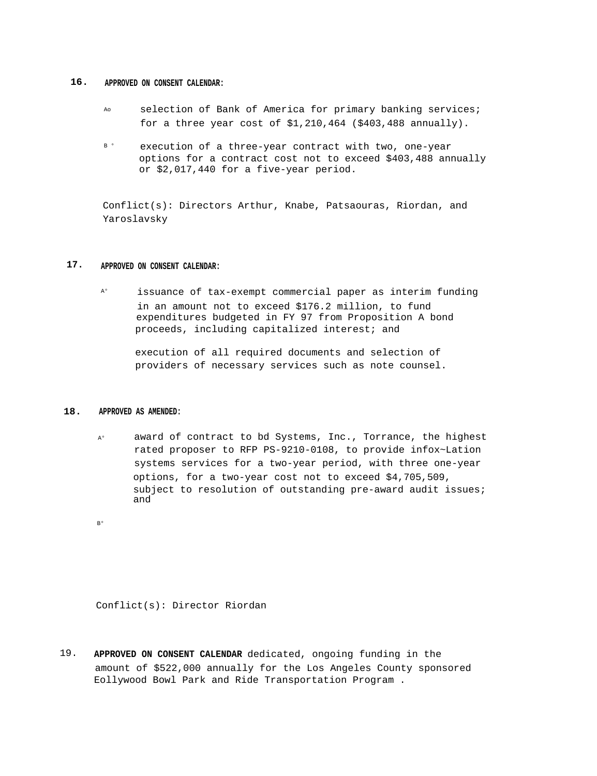#### **16. APPROVED ON CONSENT CALENDAR:**

- Ao selection of Bank of America for primary banking services; for a three year cost of \$1,210,464 (\$403,488 annually).
- B ° execution of a three-year contract with two, one-year options for a contract cost not to exceed \$403,488 annually or \$2,017,440 for a five-year period.

Conflict(s): Directors Arthur, Knabe, Patsaouras, Riordan, and Yaroslavsky

## **17. APPROVED ON CONSENT CALENDAR:**

A° issuance of tax-exempt commercial paper as interim funding in an amount not to exceed \$176.2 million, to fund expenditures budgeted in FY 97 from Proposition A bond proceeds, including capitalized interest; and

execution of all required documents and selection of providers of necessary services such as note counsel.

#### **18. APPROVED AS AMENDED:**

A° award of contract to bd Systems, Inc., Torrance, the highest rated proposer to RFP PS-9210-0108, to provide infox~Lation systems services for a two-year period, with three one-year options, for a two-year cost not to exceed \$4,705,509, subject to resolution of outstanding pre-award audit issues; and

B°

Conflict(s): Director Riordan

19. **APPROVED ON CONSENT CALENDAR** dedicated, ongoing funding in the amount of \$522,000 annually for the Los Angeles County sponsored Eollywood Bowl Park and Ride Transportation Program .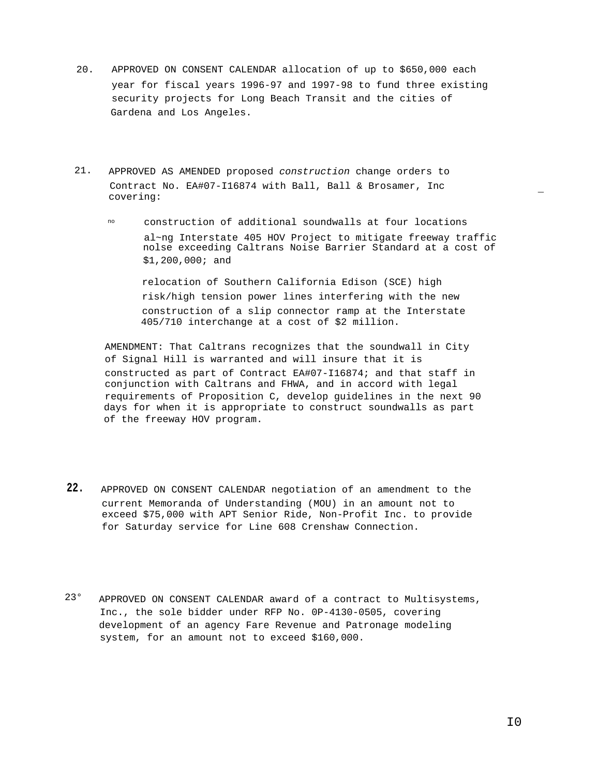- 20. APPROVED ON CONSENT CALENDAR allocation of up to \$650,000 each year for fiscal years 1996-97 and 1997-98 to fund three existing security projects for Long Beach Transit and the cities of Gardena and Los Angeles.
- 21. APPROVED AS AMENDED proposed construction change orders to Contract No. EA#07-I16874 with Ball, Ball & Brosamer, Inc covering: ¯
	- no construction of additional soundwalls at four locations al~ng Interstate 405 HOV Project to mitigate freeway traffic nolse exceeding Caltrans Noise Barrier Standard at a cost of \$1,200,000; and

relocation of Southern California Edison (SCE) high risk/high tension power lines interfering with the new construction of a slip connector ramp at the Interstate 405/710 interchange at a cost of \$2 million.

AMENDMENT: That Caltrans recognizes that the soundwall in City of Signal Hill is warranted and will insure that it is constructed as part of Contract EA#07-I16874; and that staff in conjunction with Caltrans and FHWA, and in accord with legal requirements of Proposition C, develop guidelines in the next 90 days for when it is appropriate to construct soundwalls as part of the freeway HOV program.

- **22.** APPROVED ON CONSENT CALENDAR negotiation of an amendment to the current Memoranda of Understanding (MOU) in an amount not to exceed \$75,000 with APT Senior Ride, Non-Profit Inc. to provide for Saturday service for Line 608 Crenshaw Connection.
- 23° APPROVED ON CONSENT CALENDAR award of a contract to Multisystems, Inc., the sole bidder under RFP No. 0P-4130-0505, covering development of an agency Fare Revenue and Patronage modeling system, for an amount not to exceed \$160,000.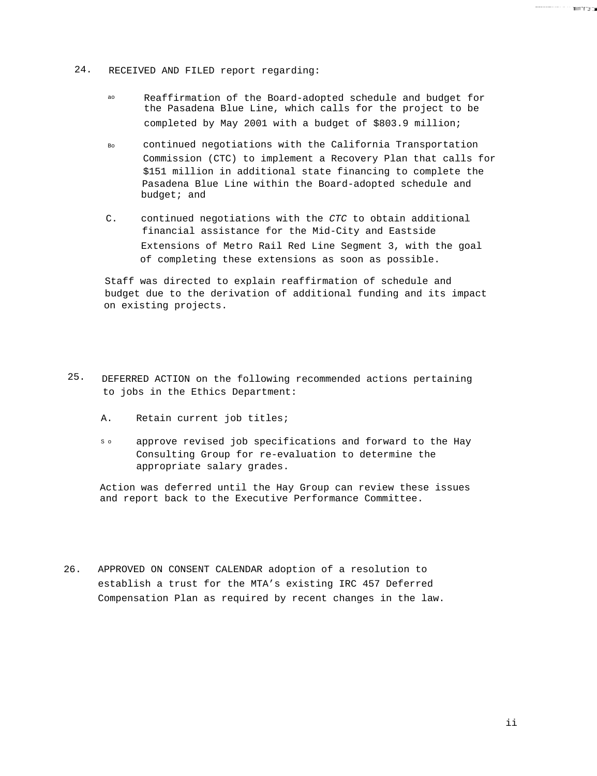- 24. RECEIVED AND FILED report regarding:
	- ao Reaffirmation of the Board-adopted schedule and budget for the Pasadena Blue Line, which calls for the project to be completed by May 2001 with a budget of \$803.9 million;
	- Bo continued negotiations with the California Transportation Commission (CTC) to implement a Recovery Plan that calls for \$151 million in additional state financing to complete the Pasadena Blue Line within the Board-adopted schedule and budget; and
	- C. continued negotiations with the CTC to obtain additional financial assistance for the Mid-City and Eastside Extensions of Metro Rail Red Line Segment 3, with the goal of completing these extensions as soon as possible.

Staff was directed to explain reaffirmation of schedule and budget due to the derivation of additional funding and its impact on existing projects.

- 25. DEFERRED ACTION on the following recommended actions pertaining to jobs in the Ethics Department:
	- A. Retain current job titles;
	- so approve revised job specifications and forward to the Hay Consulting Group for re-evaluation to determine the appropriate salary grades.

Action was deferred until the Hay Group can review these issues and report back to the Executive Performance Committee.

26. APPROVED ON CONSENT CALENDAR adoption of a resolution to establish a trust for the MTA's existing IRC 457 Deferred Compensation Plan as required by recent changes in the law.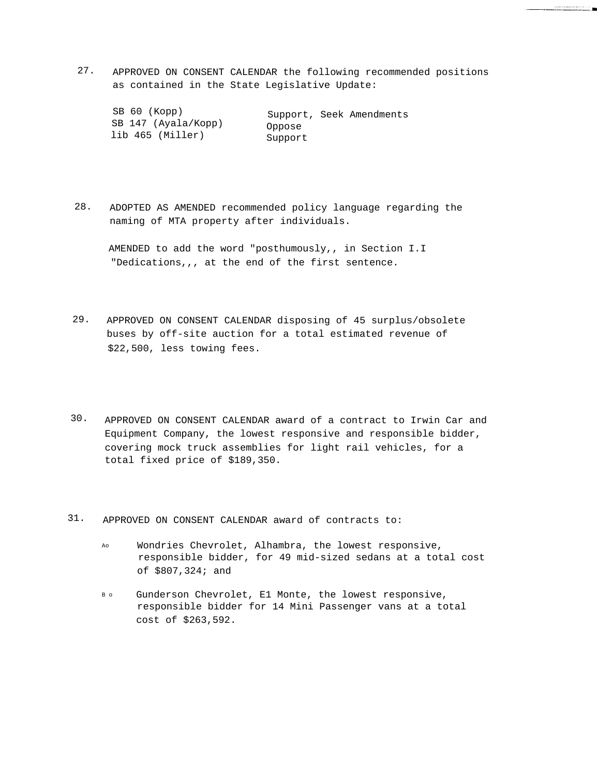27. APPROVED ON CONSENT CALENDAR the following recommended positions as contained in the State Legislative Update:

| SB 60 (Kopp)        | Support, Seek Amendments |  |  |
|---------------------|--------------------------|--|--|
| SB 147 (Ayala/Kopp) | Oppose                   |  |  |
| lib 465 (Miller)    | Support                  |  |  |

28. ADOPTED AS AMENDED recommended policy language regarding the naming of MTA property after individuals.

AMENDED to add the word "posthumously,, in Section I.I "Dedications,,, at the end of the first sentence.

- 29. APPROVED ON CONSENT CALENDAR disposing of 45 surplus/obsolete buses by off-site auction for a total estimated revenue of \$22,500, less towing fees.
- 30. APPROVED ON CONSENT CALENDAR award of a contract to Irwin Car and Equipment Company, the lowest responsive and responsible bidder, covering mock truck assemblies for light rail vehicles, for a total fixed price of \$189,350.
- 31. APPROVED ON CONSENT CALENDAR award of contracts to:
	- Ao Wondries Chevrolet, Alhambra, the lowest responsive, responsible bidder, for 49 mid-sized sedans at a total cost of \$807,324; and
	- B o Gunderson Chevrolet, E1 Monte, the lowest responsive, responsible bidder for 14 Mini Passenger vans at a total cost of \$263,592.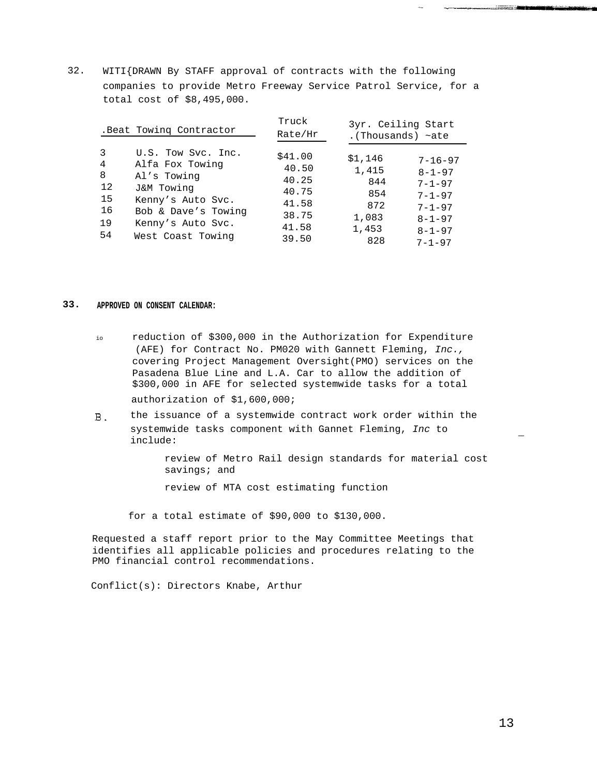32. WITI{DRAWN By STAFF approval of contracts with the following companies to provide Metro Freeway Service Patrol Service, for a total cost of \$8,495,000.

|                | . Beat Towing Contractor | Truck<br>Rate/Hr | 3yr. Ceiling Start<br>.(Thousands) $\sim$ ate |               |
|----------------|--------------------------|------------------|-----------------------------------------------|---------------|
| 3              | U.S. Tow Svc. Inc.       | \$41.00          | \$1,146                                       | $7 - 16 - 97$ |
| $\overline{4}$ | Alfa Fox Towing          | 40.50            | 1,415                                         | $8 - 1 - 97$  |
| 8              | Al's Towing              | 40.25            | 844                                           | $7 - 1 - 97$  |
| 12             | J&M Towing               | 40.75            | 854                                           | $7 - 1 - 97$  |
| 15             | Kenny's Auto Svc.        | 41.58            | 872                                           | $7 - 1 - 97$  |
| 16             | Bob & Dave's Towing      | 38.75            | 1,083                                         | $8 - 1 - 97$  |
| 19             | Kenny's Auto Svc.        | 41.58            | 1,453                                         | $8 - 1 - 97$  |
| 54             | West Coast Towing        | 39.50            | 828                                           | $7 - 1 - 97$  |

#### **33. APPROVED ON CONSENT CALENDAR:**

- io reduction of \$300,000 in the Authorization for Expenditure (AFE) for Contract No. PM020 with Gannett Fleming, Inc., covering Project Management Oversight(PMO) services on the Pasadena Blue Line and L.A. Car to allow the addition of \$300,000 in AFE for selected systemwide tasks for a total authorization of \$1,600,000;
- the issuance of a systemwide contract work order within the  $B.$ systemwide tasks component with Gannet Fleming, Inc to  $\blacksquare$ include:  $\blacksquare$

review of Metro Rail design standards for material cost savings; and

review of MTA cost estimating function

for a total estimate of \$90,000 to \$130,000.

Requested a staff report prior to the May Committee Meetings that identifies all applicable policies and procedures relating to the PMO financial control recommendations.

Conflict(s): Directors Knabe, Arthur

and the company of the second state of the second state of the second state of the second state of the second s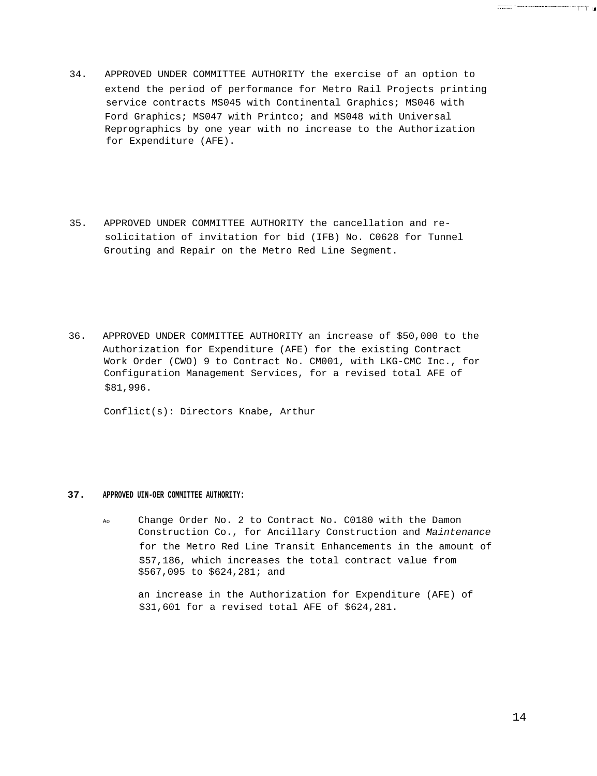- 34. APPROVED UNDER COMMITTEE AUTHORITY the exercise of an option to extend the period of performance for Metro Rail Projects printing service contracts MS045 with Continental Graphics; MS046 with Ford Graphics; MS047 with Printco; and MS048 with Universal Reprographics by one year with no increase to the Authorization for Expenditure (AFE).
- 35. APPROVED UNDER COMMITTEE AUTHORITY the cancellation and resolicitation of invitation for bid (IFB) No. C0628 for Tunnel Grouting and Repair on the Metro Red Line Segment.
- 36. APPROVED UNDER COMMITTEE AUTHORITY an increase of \$50,000 to the Authorization for Expenditure (AFE) for the existing Contract Work Order (CWO) 9 to Contract No. CM001, with LKG-CMC Inc., for Configuration Management Services, for a revised total AFE of \$81,996.

Conflict(s): Directors Knabe, Arthur

#### **37. APPROVED UIN-OER COMMITTEE AUTHORITY:**

Ao Change Order No. 2 to Contract No. C0180 with the Damon Construction Co., for Ancillary Construction and Maintenance for the Metro Red Line Transit Enhancements in the amount of \$57,186, which increases the total contract value from \$567,095 to \$624,281; and

an increase in the Authorization for Expenditure (AFE) of \$31,601 for a revised total AFE of \$624,281.

 $\overbrace{\text{minimize}} \left[ \left( \left. \begin{array}{cc} \text{minimize} & \text{minimize} & \text{minimize} \\ \text{minimize} & \text{minimize} & \text{minimize} \end{array} \right| \right] \left[ \begin{array}{c} \text{minimize} \\ \text{minimize} & \text{minimize} \end{array} \right] \left[ \begin{array}{c} \text{minimize} \\ \text{minimize} & \text{minimize} \end{array} \right] \left[ \begin{array}{c} \text{minimize} \\ \text{minimize} \end{array} \right] \left[ \begin{array}{c} \text{minimize} \\ \text{minimize} \end{array} \right] \left[ \begin$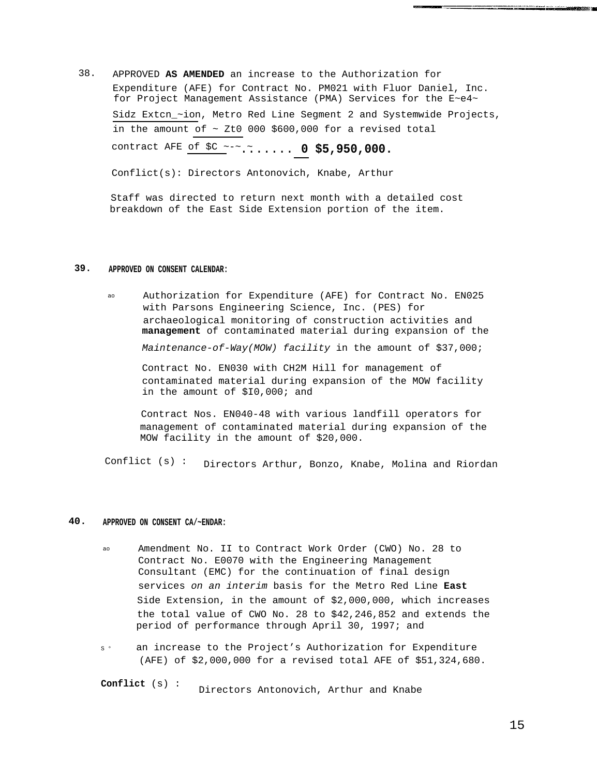38. APPROVED **AS AMENDED** an increase to the Authorization for Expenditure (AFE) for Contract No. PM021 with Fluor Daniel, Inc. for Project Management Assistance (PMA) Services for the E~e4~ Sidz Extcn\_~ion, Metro Red Line Segment 2 and Systemwide Projects, in the amount of  $\sim$  Zt0 000 \$600,000 for a revised total contract AFE of \$C ~-~ ~....... **0 \$5,950,000.**

Conflict(s): Directors Antonovich, Knabe, Arthur

Staff was directed to return next month with a detailed cost breakdown of the East Side Extension portion of the item.

## **39. APPROVED ON CONSENT CALENDAR:**

ao Authorization for Expenditure (AFE) for Contract No. EN025 with Parsons Engineering Science, Inc. (PES) for archaeological monitoring of construction activities and **management** of contaminated material during expansion of the Maintenance-of-Way(MOW) facility in the amount of \$37,000;

Contract No. EN030 with CH2M Hill for management of contaminated material during expansion of the MOW facility in the amount of \$I0,000; and

Contract Nos. EN040-48 with various landfill operators for management of contaminated material during expansion of the MOW facility in the amount of \$20,000.

Conflict (s) : Directors Arthur, Bonzo, Knabe, Molina and Riordan

## **40. APPROVED ON CONSENT CA/~ENDAR:**

- ao Amendment No. II to Contract Work Order (CWO) No. 28 to Contract No. E0070 with the Engineering Management Consultant (EMC) for the continuation of final design services on an interim basis for the Metro Red Line **East** Side Extension, in the amount of \$2,000,000, which increases the total value of CWO No. 28 to \$42,246,852 and extends the period of performance through April 30, 1997; and
- $\circ$ an increase to the Project's Authorization for Expenditure (AFE) of \$2,000,000 for a revised total AFE of \$51,324,680.

**Conflict** (s) : Directors Antonovich, Arthur and Knabe and the contract of the contract of the contract of the contract of the contract of the contract of the contract of the contract of the contract of the contract of the contract of the contract of the contract of the contra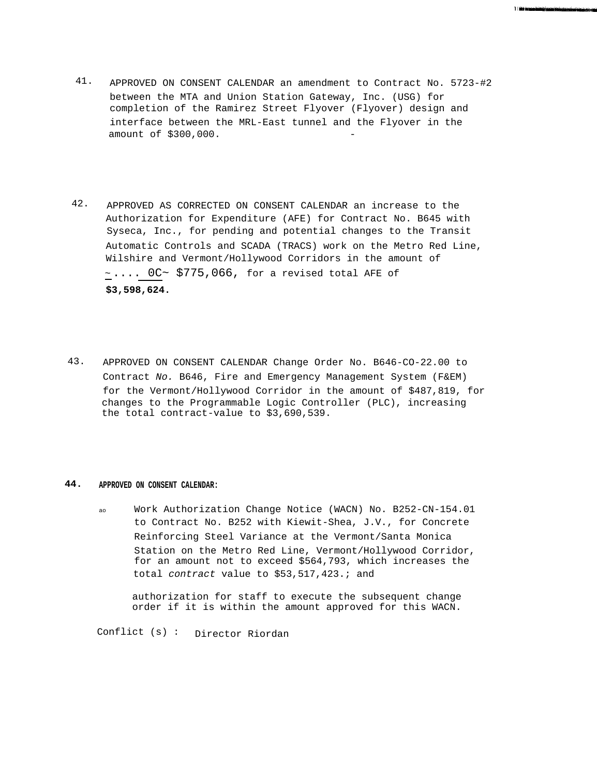41. APPROVED ON CONSENT CALENDAR an amendment to Contract No. 5723-#2 between the MTA and Union Station Gateway, Inc. (USG) for completion of the Ramirez Street Flyover (Flyover) design and interface between the MRL-East tunnel and the Flyover in the amount of \$300,000.

1 Mit benedictung annum mit eine

- 42. APPROVED AS CORRECTED ON CONSENT CALENDAR an increase to the Authorization for Expenditure (AFE) for Contract No. B645 with Syseca, Inc., for pending and potential changes to the Transit Automatic Controls and SCADA (TRACS) work on the Metro Red Line, Wilshire and Vermont/Hollywood Corridors in the amount of  $\sim \ldots$  0C $\sim$  \$775,066, for a revised total AFE of **\$3,598,624.**
- 43. APPROVED ON CONSENT CALENDAR Change Order No. B646-CO-22.00 to Contract No. B646, Fire and Emergency Management System (F&EM) for the Vermont/Hollywood Corridor in the amount of \$487,819, for changes to the Programmable Logic Controller (PLC), increasing the total contract-value to \$3,690,539.

## **44. APPROVED ON CONSENT CALENDAR:**

ao Work Authorization Change Notice (WACN) No. B252-CN-154.01 to Contract No. B252 with Kiewit-Shea, J.V., for Concrete Reinforcing Steel Variance at the Vermont/Santa Monica Station on the Metro Red Line, Vermont/Hollywood Corridor, for an amount not to exceed \$564,793, which increases the total contract value to \$53,517,423.; and

authorization for staff to execute the subsequent change order if it is within the amount approved for this WACN.

Conflict (s) : Director Riordan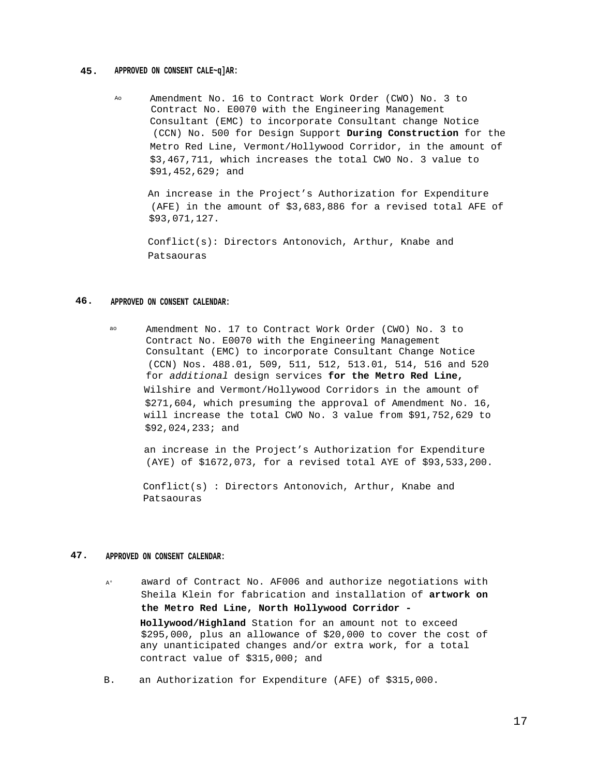## **45. APPROVED ON CONSENT CALE~q]AR:**

Ao Amendment No. 16 to Contract Work Order (CWO) No. 3 to Contract No. E0070 with the Engineering Management Consultant (EMC) to incorporate Consultant change Notice (CCN) No. 500 for Design Support **During Construction** for the Metro Red Line, Vermont/Hollywood Corridor, in the amount of \$3,467,711, which increases the total CWO No. 3 value to \$91,452,629; and

An increase in the Project's Authorization for Expenditure (AFE) in the amount of \$3,683,886 for a revised total AFE of \$93,071,127.

Conflict(s): Directors Antonovich, Arthur, Knabe and Patsaouras

## **46. APPROVED ON CONSENT CALENDAR:**

ao Amendment No. 17 to Contract Work Order (CWO) No. 3 to Contract No. E0070 with the Engineering Management Consultant (EMC) to incorporate Consultant Change Notice (CCN) Nos. 488.01, 509, 511, 512, 513.01, 514, 516 and 520 for additional design services **for the Metro Red Line,** Wilshire and Vermont/Hollywood Corridors in the amount of \$271,604, which presuming the approval of Amendment No. 16, will increase the total CWO No. 3 value from \$91,752,629 to \$92,024,233; and

an increase in the Project's Authorization for Expenditure (AYE) of \$1672,073, for a revised total AYE of \$93,533,200.

Conflict(s) : Directors Antonovich, Arthur, Knabe and Patsaouras

## **47. APPROVED ON CONSENT CALENDAR:**

- A° award of Contract No. AF006 and authorize negotiations with Sheila Klein for fabrication and installation of **artwork on the Metro Red Line, North Hollywood Corridor - Hollywood/Highland** Station for an amount not to exceed \$295,000, plus an allowance of \$20,000 to cover the cost of any unanticipated changes and/or extra work, for a total contract value of \$315,000; and
- B. an Authorization for Expenditure (AFE) of \$315,000.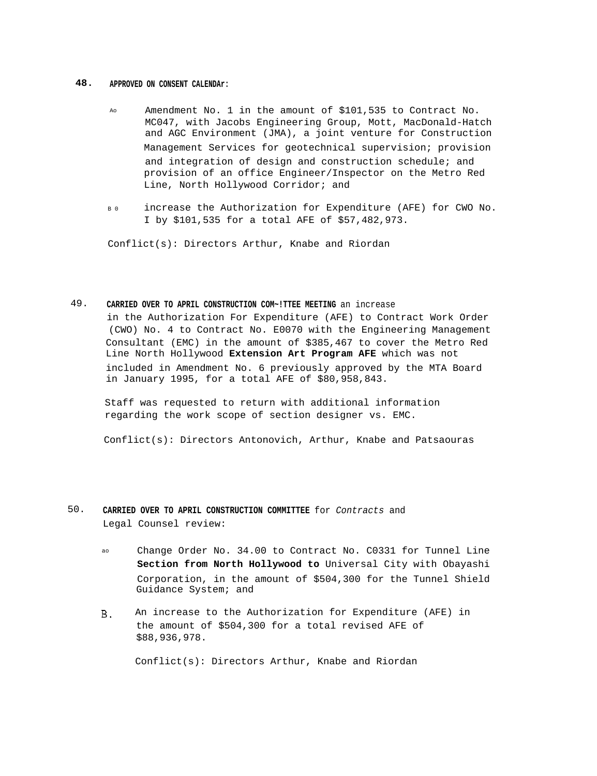## **48. APPROVED ON CONSENT CALENDAr:**

- Ao Amendment No. 1 in the amount of \$101,535 to Contract No. MC047, with Jacobs Engineering Group, Mott, MacDonald-Hatch and AGC Environment (JMA), a joint venture for Construction Management Services for geotechnical supervision; provision and integration of design and construction schedule; and provision of an office Engineer/Inspector on the Metro Red Line, North Hollywood Corridor; and
- B0 increase the Authorization for Expenditure (AFE) for CWO No. I by \$101,535 for a total AFE of \$57,482,973.

Conflict(s): Directors Arthur, Knabe and Riordan

## 49. **CARRIED OVER TO APRIL CONSTRUCTION COM~!TTEE MEETING** an increase

in the Authorization For Expenditure (AFE) to Contract Work Order (CWO) No. 4 to Contract No. E0070 with the Engineering Management Consultant (EMC) in the amount of \$385,467 to cover the Metro Red Line North Hollywood **Extension Art Program AFE** which was not included in Amendment No. 6 previously approved by the MTA Board in January 1995, for a total AFE of \$80,958,843.

Staff was requested to return with additional information regarding the work scope of section designer vs. EMC.

Conflict(s): Directors Antonovich, Arthur, Knabe and Patsaouras

- 50. **CARRIED OVER TO APRIL CONSTRUCTION COMMITTEE** for Contracts and Legal Counsel review:
	- ao Change Order No. 34.00 to Contract No. C0331 for Tunnel Line **Section from North Hollywood to** Universal City with Obayashi Corporation, in the amount of \$504,300 for the Tunnel Shield Guidance System; and
	- An increase to the Authorization for Expenditure (AFE) in  $B.$ the amount of \$504,300 for a total revised AFE of \$88,936,978.

Conflict(s): Directors Arthur, Knabe and Riordan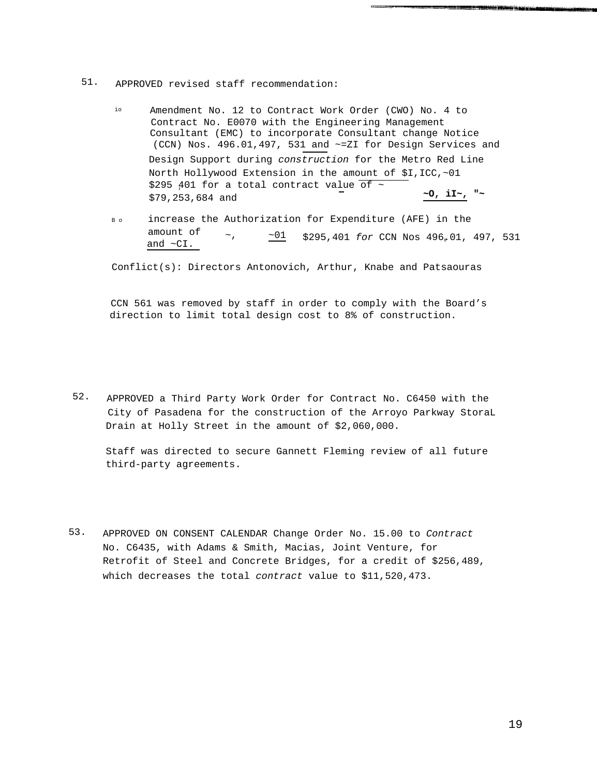## 51. APPROVED revised staff recommendation:

- io Amendment No. 12 to Contract Work Order (CWO) No. 4 to Contract No. E0070 with the Engineering Management Consultant (EMC) to incorporate Consultant change Notice (CCN) Nos. 496.01,497, 531 and ~=ZI for Design Services and Design Support during construction for the Metro Red Line North Hollywood Extension in the amount of \$I,ICC,~01 \$295 401 for a total contract value of  $\sim$ **' ~O, iI~, "~** \$79,253,684 and
- Bo increase the Authorization for Expenditure (AFE) in the amount of  $\sim$ ,  $\frac{1}{201}$  \$295,401 for CCN Nos 496.01, 497, 531

Conflict(s): Directors Antonovich, Arthur, Knabe and Patsaouras

CCN 561 was removed by staff in order to comply with the Board's direction to limit total design cost to 8% of construction.

52. APPROVED a Third Party Work Order for Contract No. C6450 with the City of Pasadena for the construction of the Arroyo Parkway StoraL Drain at Holly Street in the amount of \$2,060,000.

Staff was directed to secure Gannett Fleming review of all future third-party agreements.

53. APPROVED ON CONSENT CALENDAR Change Order No. 15.00 to Contract No. C6435, with Adams & Smith, Macias, Joint Venture, for Retrofit of Steel and Concrete Bridges, for a credit of \$256,489, which decreases the total contract value to \$11,520,473.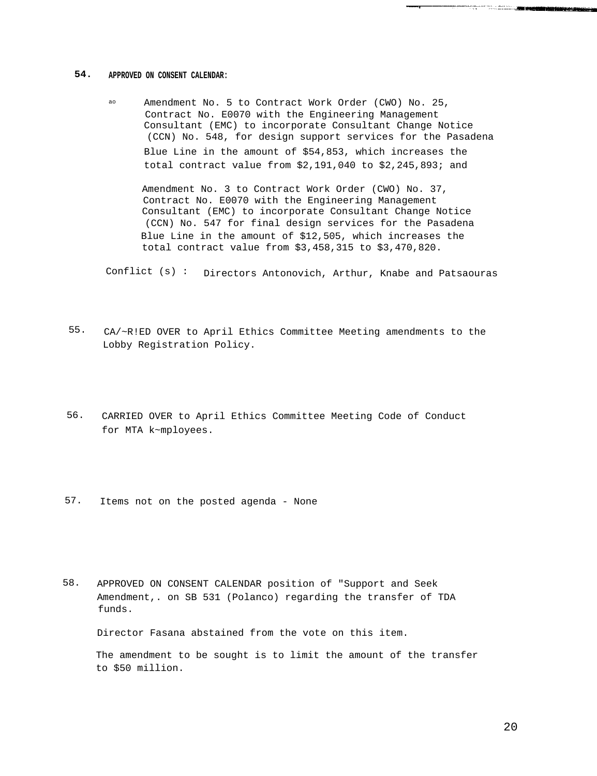## **54. APPROVED ON CONSENT CALENDAR:**

ao Amendment No. 5 to Contract Work Order (CWO) No. 25, Contract No. E0070 with the Engineering Management Consultant (EMC) to incorporate Consultant Change Notice (CCN) No. 548, for design support services for the Pasadena Blue Line in the amount of \$54,853, which increases the total contract value from \$2,191,040 to \$2,245,893; and

Amendment No. 3 to Contract Work Order (CWO) No. 37, Contract No. E0070 with the Engineering Management Consultant (EMC) to incorporate Consultant Change Notice (CCN) No. 547 for final design services for the Pasadena Blue Line in the amount of \$12,505, which increases the total contract value from \$3,458,315 to \$3,470,820.

Conflict (s) : Directors Antonovich, Arthur, Knabe and Patsaouras

- 55. CA/~R!ED OVER to April Ethics Committee Meeting amendments to the Lobby Registration Policy.
- 56. CARRIED OVER to April Ethics Committee Meeting Code of Conduct for MTA k~mployees.
- 57. Items not on the posted agenda None
- 58. APPROVED ON CONSENT CALENDAR position of "Support and Seek Amendment,. on SB 531 (Polanco) regarding the transfer of TDA funds.

Director Fasana abstained from the vote on this item.

The amendment to be sought is to limit the amount of the transfer to \$50 million.

and the contract of the contract of the contract of the contract of the contract of the contract of the contract of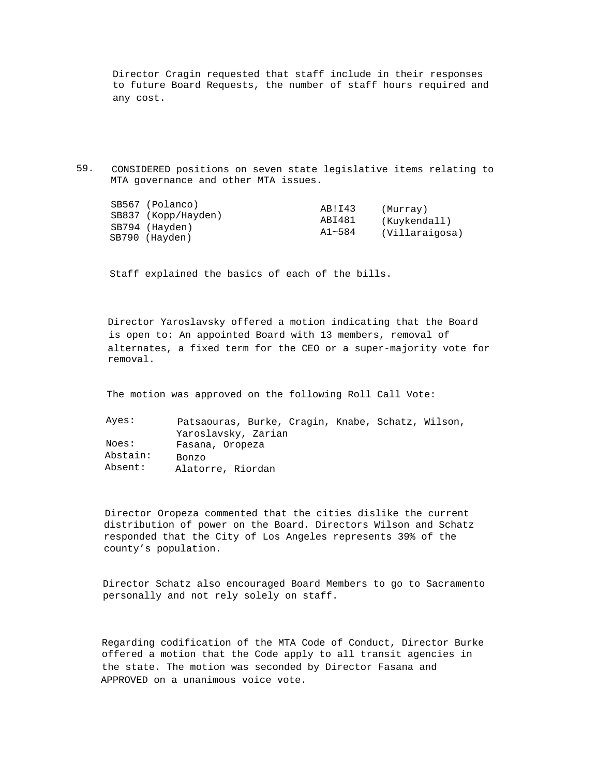Director Cragin requested that staff include in their responses to future Board Requests, the number of staff hours required and any cost.

59. CONSIDERED positions on seven state legislative items relating to MTA governance and other MTA issues.

|  | SB567 (Polanco)<br>SB837 (Kopp/Hayden)<br>SB794 (Hayden)<br>SB790 (Hayden) | AB!I43<br>ABI481<br>$A1 - 584$ | (Murray)<br>(Kuykendall)<br>(Villaraigosa) |
|--|----------------------------------------------------------------------------|--------------------------------|--------------------------------------------|
|--|----------------------------------------------------------------------------|--------------------------------|--------------------------------------------|

Staff explained the basics of each of the bills.

Director Yaroslavsky offered a motion indicating that the Board is open to: An appointed Board with 13 members, removal of alternates, a fixed term for the CEO or a super-majority vote for removal.

The motion was approved on the following Roll Call Vote:

Ayes: Noes: Abstain: Absent: Patsaouras, Burke, Cragin, Knabe, Schatz, Wilson, Yaroslavsky, Zarian Fasana, Oropeza Bonzo Alatorre, Riordan

Director Oropeza commented that the cities dislike the current distribution of power on the Board. Directors Wilson and Schatz responded that the City of Los Angeles represents 39% of the county's population.

Director Schatz also encouraged Board Members to go to Sacramento personally and not rely solely on staff.

Regarding codification of the MTA Code of Conduct, Director Burke offered a motion that the Code apply to all transit agencies in the state. The motion was seconded by Director Fasana and APPROVED on a unanimous voice vote.